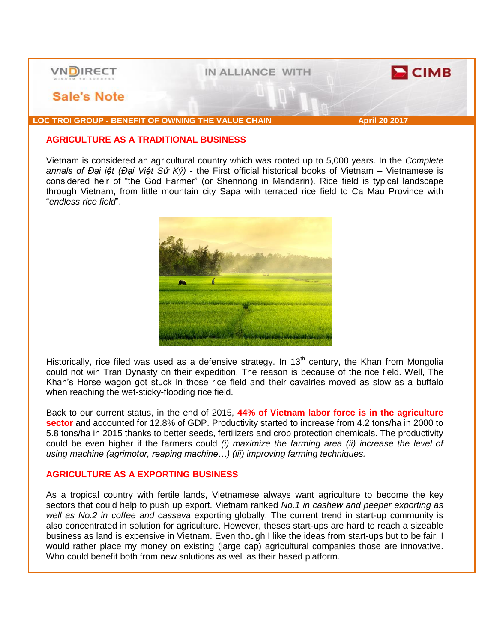

## **AGRICULTURE AS A TRADITIONAL BUSINESS**

Vietnam is considered an agricultural country which was rooted up to 5,000 years. In the *Complete annals of Đại iệt (Đại Việt Sử Ký)* - the First official historical books of Vietnam – Vietnamese is considered heir of "the God Farmer" (or Shennong in Mandarin). Rice field is typical landscape through Vietnam, from little mountain city Sapa with terraced rice field to Ca Mau Province with "*endless rice field*".



Historically, rice filed was used as a defensive strategy. In  $13<sup>th</sup>$  century, the Khan from Mongolia could not win Tran Dynasty on their expedition. The reason is because of the rice field. Well, The Khan's Horse wagon got stuck in those rice field and their cavalries moved as slow as a buffalo when reaching the wet-sticky-flooding rice field.

Back to our current status, in the end of 2015, **44% of Vietnam labor force is in the agriculture sector** and accounted for 12.8% of GDP. Productivity started to increase from 4.2 tons/ha in 2000 to 5.8 tons/ha in 2015 thanks to better seeds, fertilizers and crop protection chemicals. The productivity could be even higher if the farmers could *(i) maximize the farming area (ii) increase the level of using machine (agrimotor, reaping machine…) (iii) improving farming techniques.*

## **AGRICULTURE AS A EXPORTING BUSINESS**

As a tropical country with fertile lands, Vietnamese always want agriculture to become the key sectors that could help to push up export. Vietnam ranked *No.1 in cashew and peeper exporting as well as No.2 in coffee and cassava* exporting globally. The current trend in start-up community is also concentrated in solution for agriculture. However, theses start-ups are hard to reach a sizeable business as land is expensive in Vietnam. Even though I like the ideas from start-ups but to be fair, I would rather place my money on existing (large cap) agricultural companies those are innovative. Who could benefit both from new solutions as well as their based platform.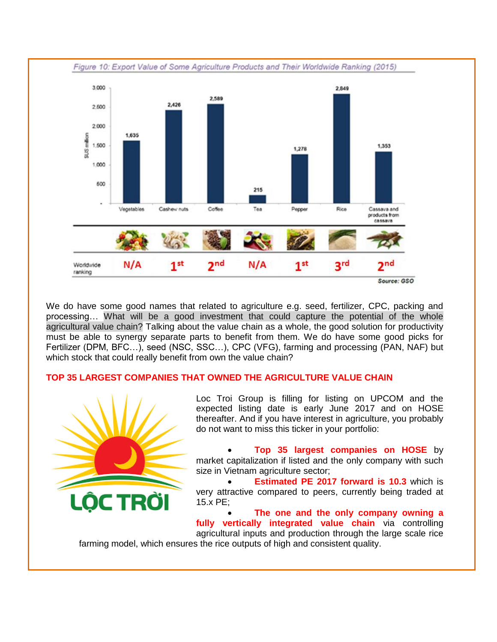

We do have some good names that related to agriculture e.g. seed, fertilizer, CPC, packing and processing… What will be a good investment that could capture the potential of the whole agricultural value chain? Talking about the value chain as a whole, the good solution for productivity must be able to synergy separate parts to benefit from them. We do have some good picks for Fertilizer (DPM, BFC…), seed (NSC, SSC…), CPC (VFG), farming and processing (PAN, NAF) but which stock that could really benefit from own the value chain?

## **TOP 35 LARGEST COMPANIES THAT OWNED THE AGRICULTURE VALUE CHAIN**



Loc Troi Group is filling for listing on UPCOM and the expected listing date is early June 2017 and on HOSE thereafter. And if you have interest in agriculture, you probably do not want to miss this ticker in your portfolio:

 **Top 35 largest companies on HOSE** by market capitalization if listed and the only company with such size in Vietnam agriculture sector;

 **Estimated PE 2017 forward is 10.3** which is very attractive compared to peers, currently being traded at 15.x PE;

 **The one and the only company owning a fully vertically integrated value chain** via controlling agricultural inputs and production through the large scale rice farming model, which ensures the rice outputs of high and consistent quality.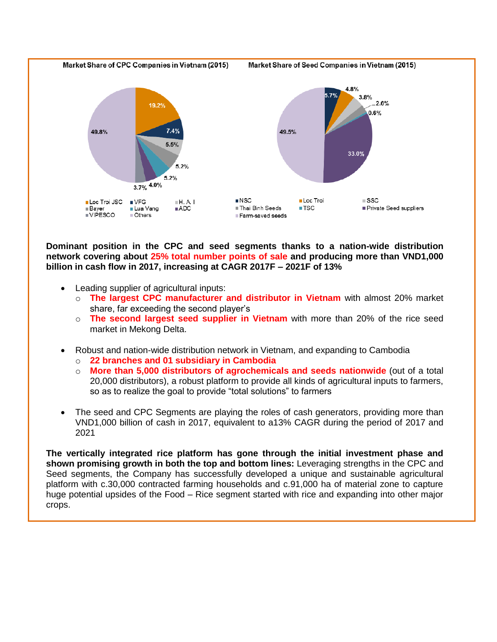

**Dominant position in the CPC and seed segments thanks to a nation-wide distribution network covering about 25% total number points of sale and producing more than VND1,000 billion in cash flow in 2017, increasing at CAGR 2017F – 2021F of 13%**

- Leading supplier of agricultural inputs:
	- o **The largest CPC manufacturer and distributor in Vietnam** with almost 20% market share, far exceeding the second player's
	- o **The second largest seed supplier in Vietnam** with more than 20% of the rice seed market in Mekong Delta.
- Robust and nation-wide distribution network in Vietnam, and expanding to Cambodia
	- o **22 branches and 01 subsidiary in Cambodia**
	- o **More than 5,000 distributors of agrochemicals and seeds nationwide** (out of a total 20,000 distributors), a robust platform to provide all kinds of agricultural inputs to farmers, so as to realize the goal to provide "total solutions" to farmers
- The seed and CPC Segments are playing the roles of cash generators, providing more than VND1,000 billion of cash in 2017, equivalent to a13% CAGR during the period of 2017 and 2021

**The vertically integrated rice platform has gone through the initial investment phase and shown promising growth in both the top and bottom lines:** Leveraging strengths in the CPC and Seed segments, the Company has successfully developed a unique and sustainable agricultural platform with c.30,000 contracted farming households and c.91,000 ha of material zone to capture huge potential upsides of the Food – Rice segment started with rice and expanding into other major crops.